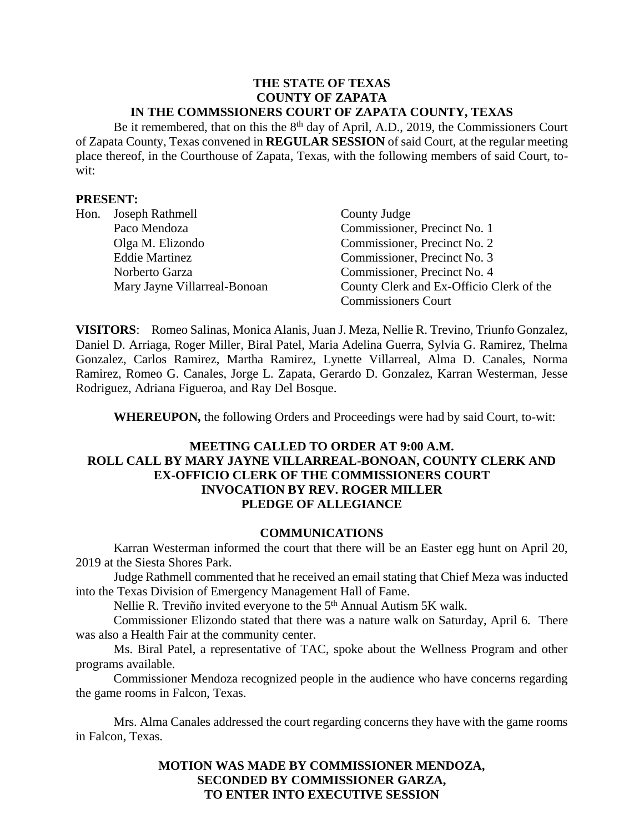#### **THE STATE OF TEXAS COUNTY OF ZAPATA IN THE COMMSSIONERS COURT OF ZAPATA COUNTY, TEXAS**

Be it remembered, that on this the 8<sup>th</sup> day of April, A.D., 2019, the Commissioners Court of Zapata County, Texas convened in **REGULAR SESSION** of said Court, at the regular meeting place thereof, in the Courthouse of Zapata, Texas, with the following members of said Court, towit:

### **PRESENT:**

| Hon. | Joseph Rathmell              | County Judge                             |
|------|------------------------------|------------------------------------------|
|      | Paco Mendoza                 | Commissioner, Precinct No. 1             |
|      | Olga M. Elizondo             | Commissioner, Precinct No. 2             |
|      | <b>Eddie Martinez</b>        | Commissioner, Precinct No. 3             |
|      | Norberto Garza               | Commissioner, Precinct No. 4             |
|      | Mary Jayne Villarreal-Bonoan | County Clerk and Ex-Officio Clerk of the |
|      |                              | <b>Commissioners Court</b>               |

**VISITORS**: Romeo Salinas, Monica Alanis, Juan J. Meza, Nellie R. Trevino, Triunfo Gonzalez, Daniel D. Arriaga, Roger Miller, Biral Patel, Maria Adelina Guerra, Sylvia G. Ramirez, Thelma Gonzalez, Carlos Ramirez, Martha Ramirez, Lynette Villarreal, Alma D. Canales, Norma Ramirez, Romeo G. Canales, Jorge L. Zapata, Gerardo D. Gonzalez, Karran Westerman, Jesse Rodriguez, Adriana Figueroa, and Ray Del Bosque.

**WHEREUPON,** the following Orders and Proceedings were had by said Court, to-wit:

## **MEETING CALLED TO ORDER AT 9:00 A.M. ROLL CALL BY MARY JAYNE VILLARREAL-BONOAN, COUNTY CLERK AND EX-OFFICIO CLERK OF THE COMMISSIONERS COURT INVOCATION BY REV. ROGER MILLER PLEDGE OF ALLEGIANCE**

### **COMMUNICATIONS**

Karran Westerman informed the court that there will be an Easter egg hunt on April 20, 2019 at the Siesta Shores Park.

Judge Rathmell commented that he received an email stating that Chief Meza was inducted into the Texas Division of Emergency Management Hall of Fame.

Nellie R. Treviño invited everyone to the 5<sup>th</sup> Annual Autism 5K walk.

Commissioner Elizondo stated that there was a nature walk on Saturday, April 6. There was also a Health Fair at the community center.

Ms. Biral Patel, a representative of TAC, spoke about the Wellness Program and other programs available.

Commissioner Mendoza recognized people in the audience who have concerns regarding the game rooms in Falcon, Texas.

Mrs. Alma Canales addressed the court regarding concerns they have with the game rooms in Falcon, Texas.

> **MOTION WAS MADE BY COMMISSIONER MENDOZA, SECONDED BY COMMISSIONER GARZA, TO ENTER INTO EXECUTIVE SESSION**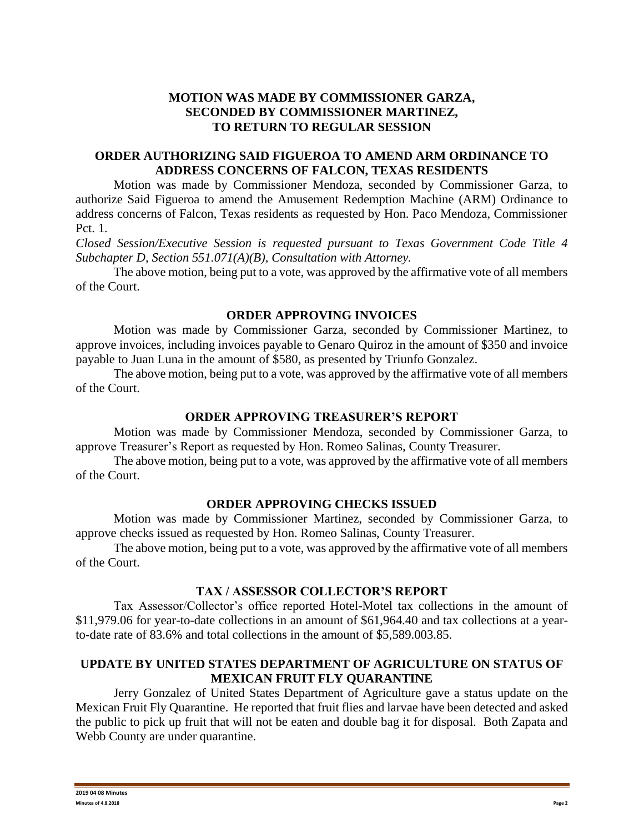# **MOTION WAS MADE BY COMMISSIONER GARZA, SECONDED BY COMMISSIONER MARTINEZ, TO RETURN TO REGULAR SESSION**

## **ORDER AUTHORIZING SAID FIGUEROA TO AMEND ARM ORDINANCE TO ADDRESS CONCERNS OF FALCON, TEXAS RESIDENTS**

Motion was made by Commissioner Mendoza, seconded by Commissioner Garza, to authorize Said Figueroa to amend the Amusement Redemption Machine (ARM) Ordinance to address concerns of Falcon, Texas residents as requested by Hon. Paco Mendoza, Commissioner Pct. 1.

*Closed Session/Executive Session is requested pursuant to Texas Government Code Title 4 Subchapter D, Section 551.071(A)(B), Consultation with Attorney.*

The above motion, being put to a vote, was approved by the affirmative vote of all members of the Court.

## **ORDER APPROVING INVOICES**

Motion was made by Commissioner Garza, seconded by Commissioner Martinez, to approve invoices, including invoices payable to Genaro Quiroz in the amount of \$350 and invoice payable to Juan Luna in the amount of \$580, as presented by Triunfo Gonzalez.

The above motion, being put to a vote, was approved by the affirmative vote of all members of the Court.

### **ORDER APPROVING TREASURER'S REPORT**

Motion was made by Commissioner Mendoza, seconded by Commissioner Garza, to approve Treasurer's Report as requested by Hon. Romeo Salinas, County Treasurer.

The above motion, being put to a vote, was approved by the affirmative vote of all members of the Court.

### **ORDER APPROVING CHECKS ISSUED**

Motion was made by Commissioner Martinez, seconded by Commissioner Garza, to approve checks issued as requested by Hon. Romeo Salinas, County Treasurer.

The above motion, being put to a vote, was approved by the affirmative vote of all members of the Court.

### **TAX / ASSESSOR COLLECTOR'S REPORT**

Tax Assessor/Collector's office reported Hotel-Motel tax collections in the amount of \$11,979.06 for year-to-date collections in an amount of \$61,964.40 and tax collections at a yearto-date rate of 83.6% and total collections in the amount of \$5,589.003.85.

### **UPDATE BY UNITED STATES DEPARTMENT OF AGRICULTURE ON STATUS OF MEXICAN FRUIT FLY QUARANTINE**

Jerry Gonzalez of United States Department of Agriculture gave a status update on the Mexican Fruit Fly Quarantine. He reported that fruit flies and larvae have been detected and asked the public to pick up fruit that will not be eaten and double bag it for disposal. Both Zapata and Webb County are under quarantine.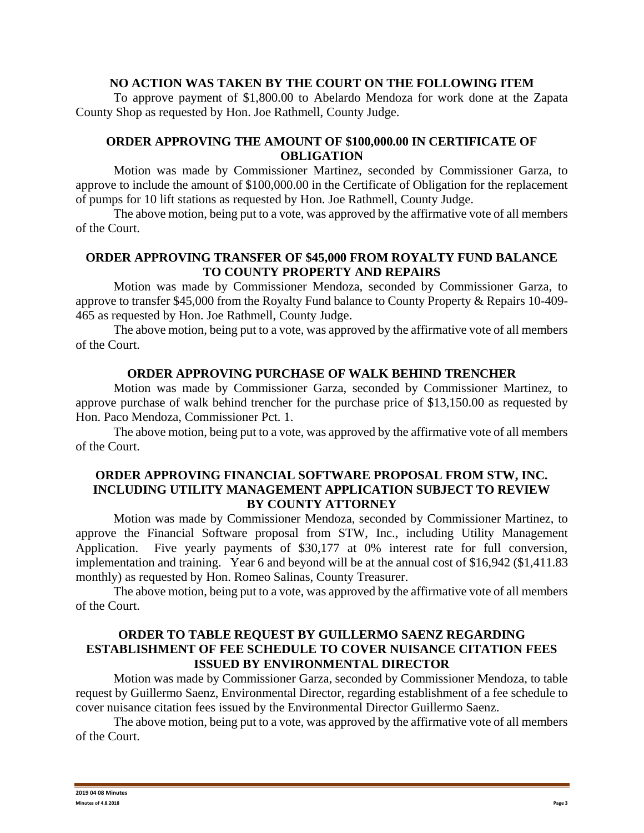### **NO ACTION WAS TAKEN BY THE COURT ON THE FOLLOWING ITEM**

To approve payment of \$1,800.00 to Abelardo Mendoza for work done at the Zapata County Shop as requested by Hon. Joe Rathmell, County Judge.

### **ORDER APPROVING THE AMOUNT OF \$100,000.00 IN CERTIFICATE OF OBLIGATION**

Motion was made by Commissioner Martinez, seconded by Commissioner Garza, to approve to include the amount of \$100,000.00 in the Certificate of Obligation for the replacement of pumps for 10 lift stations as requested by Hon. Joe Rathmell, County Judge.

The above motion, being put to a vote, was approved by the affirmative vote of all members of the Court.

## **ORDER APPROVING TRANSFER OF \$45,000 FROM ROYALTY FUND BALANCE TO COUNTY PROPERTY AND REPAIRS**

Motion was made by Commissioner Mendoza, seconded by Commissioner Garza, to approve to transfer \$45,000 from the Royalty Fund balance to County Property & Repairs 10-409- 465 as requested by Hon. Joe Rathmell, County Judge.

The above motion, being put to a vote, was approved by the affirmative vote of all members of the Court.

### **ORDER APPROVING PURCHASE OF WALK BEHIND TRENCHER**

Motion was made by Commissioner Garza, seconded by Commissioner Martinez, to approve purchase of walk behind trencher for the purchase price of \$13,150.00 as requested by Hon. Paco Mendoza, Commissioner Pct. 1.

The above motion, being put to a vote, was approved by the affirmative vote of all members of the Court.

### **ORDER APPROVING FINANCIAL SOFTWARE PROPOSAL FROM STW, INC. INCLUDING UTILITY MANAGEMENT APPLICATION SUBJECT TO REVIEW BY COUNTY ATTORNEY**

Motion was made by Commissioner Mendoza, seconded by Commissioner Martinez, to approve the Financial Software proposal from STW, Inc., including Utility Management Application. Five yearly payments of \$30,177 at 0% interest rate for full conversion, implementation and training. Year 6 and beyond will be at the annual cost of \$16,942 (\$1,411.83 monthly) as requested by Hon. Romeo Salinas, County Treasurer.

The above motion, being put to a vote, was approved by the affirmative vote of all members of the Court.

### **ORDER TO TABLE REQUEST BY GUILLERMO SAENZ REGARDING ESTABLISHMENT OF FEE SCHEDULE TO COVER NUISANCE CITATION FEES ISSUED BY ENVIRONMENTAL DIRECTOR**

Motion was made by Commissioner Garza, seconded by Commissioner Mendoza, to table request by Guillermo Saenz, Environmental Director, regarding establishment of a fee schedule to cover nuisance citation fees issued by the Environmental Director Guillermo Saenz.

The above motion, being put to a vote, was approved by the affirmative vote of all members of the Court.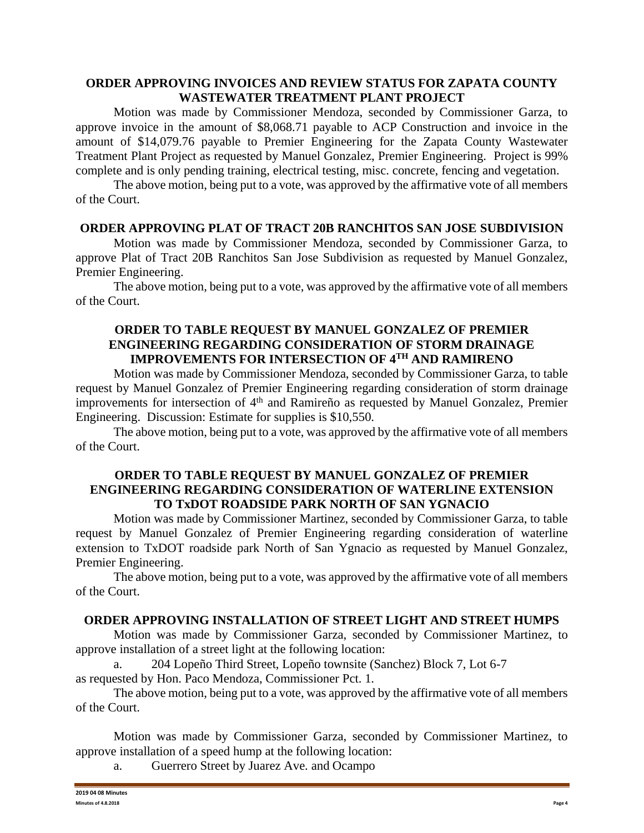## **ORDER APPROVING INVOICES AND REVIEW STATUS FOR ZAPATA COUNTY WASTEWATER TREATMENT PLANT PROJECT**

Motion was made by Commissioner Mendoza, seconded by Commissioner Garza, to approve invoice in the amount of \$8,068.71 payable to ACP Construction and invoice in the amount of \$14,079.76 payable to Premier Engineering for the Zapata County Wastewater Treatment Plant Project as requested by Manuel Gonzalez, Premier Engineering. Project is 99% complete and is only pending training, electrical testing, misc. concrete, fencing and vegetation.

The above motion, being put to a vote, was approved by the affirmative vote of all members of the Court.

### **ORDER APPROVING PLAT OF TRACT 20B RANCHITOS SAN JOSE SUBDIVISION**

Motion was made by Commissioner Mendoza, seconded by Commissioner Garza, to approve Plat of Tract 20B Ranchitos San Jose Subdivision as requested by Manuel Gonzalez, Premier Engineering.

The above motion, being put to a vote, was approved by the affirmative vote of all members of the Court.

# **ORDER TO TABLE REQUEST BY MANUEL GONZALEZ OF PREMIER ENGINEERING REGARDING CONSIDERATION OF STORM DRAINAGE IMPROVEMENTS FOR INTERSECTION OF 4TH AND RAMIRENO**

Motion was made by Commissioner Mendoza, seconded by Commissioner Garza, to table request by Manuel Gonzalez of Premier Engineering regarding consideration of storm drainage improvements for intersection of 4<sup>th</sup> and Ramireño as requested by Manuel Gonzalez, Premier Engineering. Discussion: Estimate for supplies is \$10,550.

The above motion, being put to a vote, was approved by the affirmative vote of all members of the Court.

## **ORDER TO TABLE REQUEST BY MANUEL GONZALEZ OF PREMIER ENGINEERING REGARDING CONSIDERATION OF WATERLINE EXTENSION TO TxDOT ROADSIDE PARK NORTH OF SAN YGNACIO**

Motion was made by Commissioner Martinez, seconded by Commissioner Garza, to table request by Manuel Gonzalez of Premier Engineering regarding consideration of waterline extension to TxDOT roadside park North of San Ygnacio as requested by Manuel Gonzalez, Premier Engineering.

The above motion, being put to a vote, was approved by the affirmative vote of all members of the Court.

### **ORDER APPROVING INSTALLATION OF STREET LIGHT AND STREET HUMPS**

Motion was made by Commissioner Garza, seconded by Commissioner Martinez, to approve installation of a street light at the following location:

a. 204 Lopeño Third Street, Lopeño townsite (Sanchez) Block 7, Lot 6-7 as requested by Hon. Paco Mendoza, Commissioner Pct. 1.

The above motion, being put to a vote, was approved by the affirmative vote of all members of the Court.

Motion was made by Commissioner Garza, seconded by Commissioner Martinez, to approve installation of a speed hump at the following location:

a. Guerrero Street by Juarez Ave. and Ocampo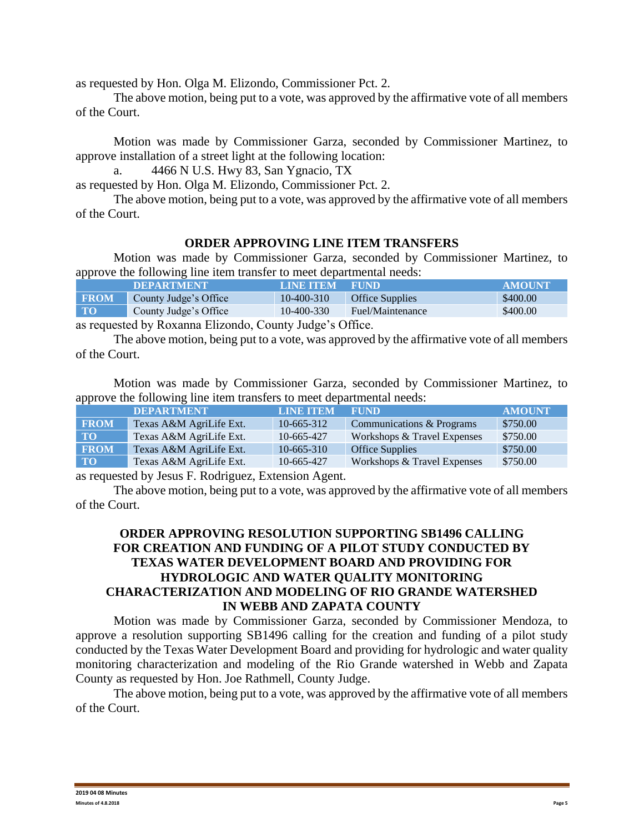as requested by Hon. Olga M. Elizondo, Commissioner Pct. 2.

The above motion, being put to a vote, was approved by the affirmative vote of all members of the Court.

Motion was made by Commissioner Garza, seconded by Commissioner Martinez, to approve installation of a street light at the following location:

a. 4466 N U.S. Hwy 83, San Ygnacio, TX

as requested by Hon. Olga M. Elizondo, Commissioner Pct. 2.

The above motion, being put to a vote, was approved by the affirmative vote of all members of the Court.

# **ORDER APPROVING LINE ITEM TRANSFERS**

Motion was made by Commissioner Garza, seconded by Commissioner Martinez, to approve the following line item transfer to meet departmental needs:

|             | <b>DEPARTMENT</b>     | <b>LINE ITEM</b> | <b>FUND</b>            | <b>AMOUNT</b> |
|-------------|-----------------------|------------------|------------------------|---------------|
| <b>FROM</b> | County Judge's Office | 10-400-310       | <b>Office Supplies</b> | \$400.00      |
| $\bf T0$    | County Judge's Office | 10-400-330       | Fuel/Maintenance       | \$400.00      |
|             |                       |                  |                        |               |

as requested by Roxanna Elizondo, County Judge's Office.

The above motion, being put to a vote, was approved by the affirmative vote of all members of the Court.

Motion was made by Commissioner Garza, seconded by Commissioner Martinez, to approve the following line item transfers to meet departmental needs:

|             | <b>DEPARTMENT</b>       | <b>LINE ITEM</b> | <b>FUND</b>                 | <b>AMOUNT</b> |
|-------------|-------------------------|------------------|-----------------------------|---------------|
| <b>FROM</b> | Texas A&M AgriLife Ext. | $10-665-312$     | Communications & Programs   | \$750.00      |
| <b>TO</b>   | Texas A&M AgriLife Ext. | 10-665-427       | Workshops & Travel Expenses | \$750.00      |
| <b>FROM</b> | Texas A&M AgriLife Ext. | $10-665-310$     | <b>Office Supplies</b>      | \$750.00      |
| <b>TO</b>   | Texas A&M AgriLife Ext. | 10-665-427       | Workshops & Travel Expenses | \$750.00      |

as requested by Jesus F. Rodriguez, Extension Agent.

The above motion, being put to a vote, was approved by the affirmative vote of all members of the Court.

## **ORDER APPROVING RESOLUTION SUPPORTING SB1496 CALLING FOR CREATION AND FUNDING OF A PILOT STUDY CONDUCTED BY TEXAS WATER DEVELOPMENT BOARD AND PROVIDING FOR HYDROLOGIC AND WATER QUALITY MONITORING CHARACTERIZATION AND MODELING OF RIO GRANDE WATERSHED IN WEBB AND ZAPATA COUNTY**

Motion was made by Commissioner Garza, seconded by Commissioner Mendoza, to approve a resolution supporting SB1496 calling for the creation and funding of a pilot study conducted by the Texas Water Development Board and providing for hydrologic and water quality monitoring characterization and modeling of the Rio Grande watershed in Webb and Zapata County as requested by Hon. Joe Rathmell, County Judge.

The above motion, being put to a vote, was approved by the affirmative vote of all members of the Court.